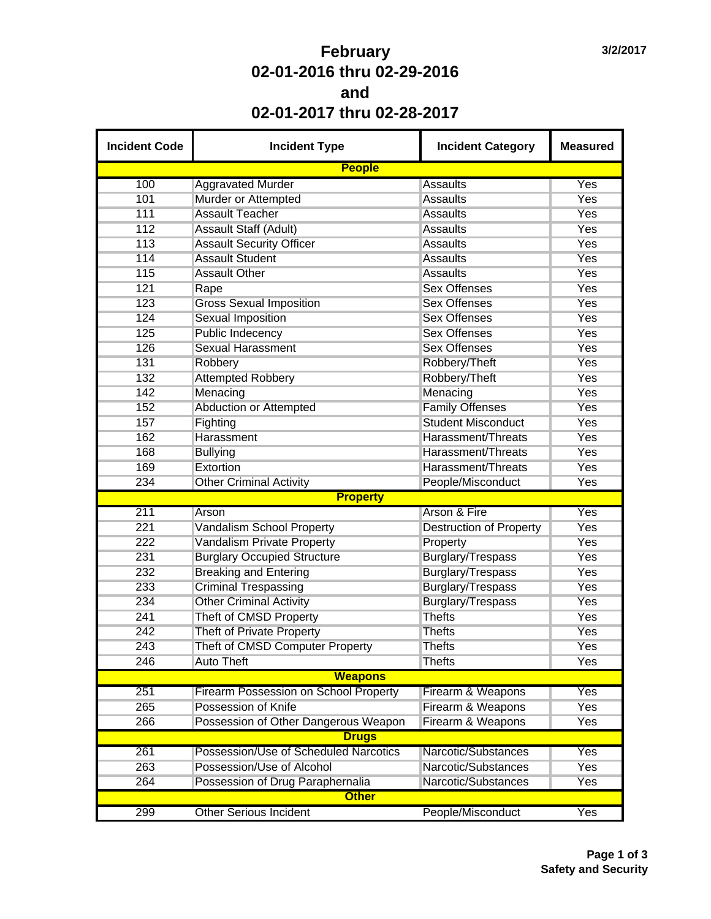## **February 02-01-2016 thru 02-29-2016 and 02-01-2017 thru 02-28-2017**

| <b>Incident Code</b> | <b>Incident Type</b>                                 | <b>Incident Category</b>       | <b>Measured</b> |
|----------------------|------------------------------------------------------|--------------------------------|-----------------|
|                      | <b>People</b>                                        |                                |                 |
| 100                  | <b>Aggravated Murder</b>                             | <b>Assaults</b>                | Yes             |
| 101                  | Murder or Attempted                                  | <b>Assaults</b>                | Yes             |
| 111                  | <b>Assault Teacher</b>                               | <b>Assaults</b>                | Yes             |
| 112                  | <b>Assault Staff (Adult)</b>                         | <b>Assaults</b>                | Yes             |
| 113                  | <b>Assault Security Officer</b>                      | <b>Assaults</b>                | Yes             |
| 114                  | <b>Assault Student</b>                               | <b>Assaults</b>                | Yes             |
| 115                  | <b>Assault Other</b>                                 | <b>Assaults</b>                | Yes             |
| 121                  | Rape                                                 | <b>Sex Offenses</b>            | Yes             |
| 123                  | <b>Gross Sexual Imposition</b>                       | <b>Sex Offenses</b>            | <b>Yes</b>      |
| 124                  | <b>Sexual Imposition</b>                             | <b>Sex Offenses</b>            | <b>Yes</b>      |
| 125                  | <b>Public Indecency</b>                              | <b>Sex Offenses</b>            | Yes             |
| 126                  | <b>Sexual Harassment</b>                             | <b>Sex Offenses</b>            | Yes             |
| 131                  | Robbery                                              | Robbery/Theft                  | <b>Yes</b>      |
| 132                  | <b>Attempted Robbery</b>                             | Robbery/Theft                  | Yes             |
| 142                  | Menacing                                             | Menacing                       | Yes             |
| 152                  | <b>Abduction or Attempted</b>                        | <b>Family Offenses</b>         | <b>Yes</b>      |
| 157                  | Fighting                                             | <b>Student Misconduct</b>      | <b>Yes</b>      |
| 162                  | Harassment                                           | Harassment/Threats             | <b>Yes</b>      |
| 168                  | <b>Bullying</b>                                      | Harassment/Threats             | <b>Yes</b>      |
| 169                  | Extortion                                            | Harassment/Threats             | <b>Yes</b>      |
| 234                  | <b>Other Criminal Activity</b>                       | People/Misconduct              | Yes             |
|                      | <b>Property</b>                                      |                                |                 |
| 211                  | Arson                                                | <b>Arson &amp; Fire</b>        | Yes             |
| 221                  | <b>Vandalism School Property</b>                     | <b>Destruction of Property</b> | <b>Yes</b>      |
| 222                  | Vandalism Private Property                           | Property                       | Yes             |
| 231                  | <b>Burglary Occupied Structure</b>                   | <b>Burglary/Trespass</b>       | <b>Yes</b>      |
| 232                  | <b>Breaking and Entering</b>                         | Burglary/Trespass              | <b>Yes</b>      |
| 233                  | <b>Criminal Trespassing</b>                          | Burglary/Trespass              | <b>Yes</b>      |
| 234                  | <b>Other Criminal Activity</b>                       | Burglary/Trespass              | Yes             |
| 241                  | Theft of CMSD Property                               | <b>Thefts</b>                  | Yes             |
| 242                  | Theft of Private Property                            | <b>Thefts</b>                  | Yes             |
| 243                  |                                                      |                                | Yes             |
|                      | Theft of CMSD Computer Property<br><b>Auto Theft</b> | <b>Thefts</b>                  |                 |
| 246                  | <b>Weapons</b>                                       | <b>Thefts</b>                  | Yes             |
|                      |                                                      |                                | Yes             |
| 251                  | <b>Firearm Possession on School Property</b>         | Firearm & Weapons              |                 |
| 265                  | Possession of Knife                                  | Firearm & Weapons              | <b>Yes</b>      |
| 266                  | Possession of Other Dangerous Weapon                 | Firearm & Weapons              | Yes             |
|                      | <b>Drugs</b>                                         |                                |                 |
| 261                  | Possession/Use of Scheduled Narcotics                | Narcotic/Substances            | Yes             |
| 263                  | Possession/Use of Alcohol                            | Narcotic/Substances            | Yes             |
| 264                  | Possession of Drug Paraphernalia                     | Narcotic/Substances            | Yes             |
|                      | <b>Other</b>                                         |                                |                 |
| 299                  | <b>Other Serious Incident</b>                        | People/Misconduct              | Yes             |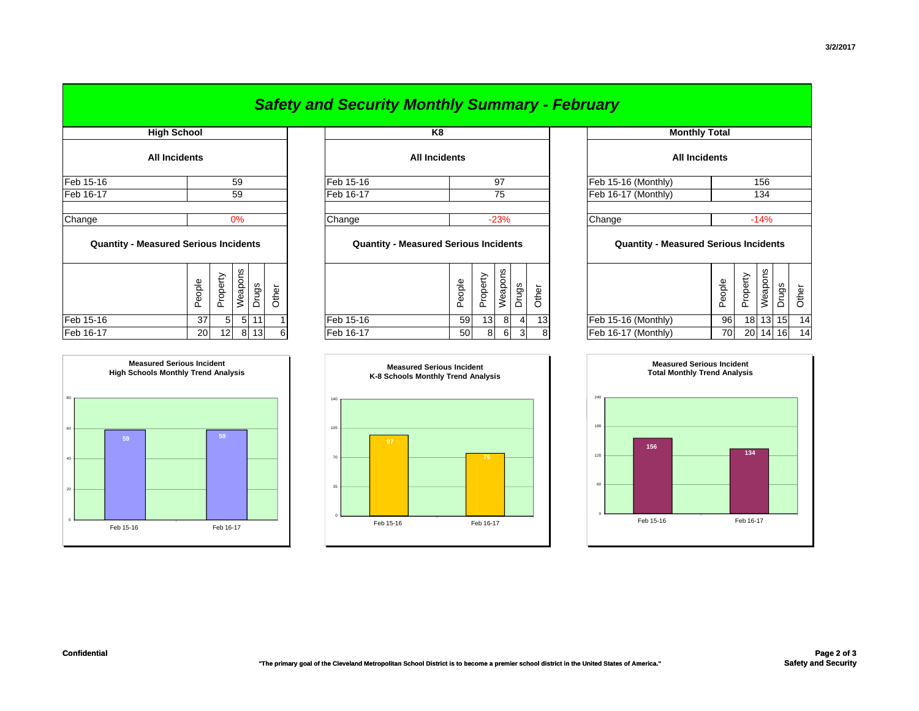| <b>Safety and Security Monthly Summary - February</b> |  |  |
|-------------------------------------------------------|--|--|
|-------------------------------------------------------|--|--|

|                                              | <b>High School</b>   |                |                |       |       | K <sub>8</sub>                   |        |
|----------------------------------------------|----------------------|----------------|----------------|-------|-------|----------------------------------|--------|
|                                              | <b>All Incidents</b> |                |                |       |       | <b>All Incidents</b>             |        |
| Feb 15-16                                    |                      |                | 59             |       |       | Feb 15-16                        |        |
| Feb 16-17                                    |                      |                | 59             |       |       | Feb 16-17                        |        |
| Change                                       |                      |                | 0%             |       |       | Change                           |        |
| <b>Quantity - Measured Serious Incidents</b> |                      |                |                |       |       | <b>Quantity - Measured Serio</b> |        |
|                                              | People               | Property       | Weapons        | Drugs | Other |                                  | People |
| Feb 15-16                                    | 37                   | 5 <sup>1</sup> | 5 <sup>1</sup> | 11    |       | Feb 15-16                        | 5      |
| Feb 16-17                                    | 20 <sup>1</sup>      | 121            |                | 8 13  | 6     | Feb 16-17                        | 5      |



| <b>All Incidents</b> |    |           | <b>All Incidents</b> | <b>All Incidents</b> |      |
|----------------------|----|-----------|----------------------|----------------------|------|
| Feb 15-16            | 59 | Feb 15-16 | 97                   | Feb 15-16 (Monthly)  | 156  |
| Feb 16-17            | 59 | Feb 16-17 | 75                   | Feb 16-17 (Monthly)  | 134  |
|                      |    |           |                      |                      |      |
| Change               | 0% | Change    | $-23%$               | Change               | -14% |
|                      |    |           |                      |                      |      |

## **Quantity - Measured Serious Incidents Quantity - Measured Serious Incidents Quantity - Measured Serious Incidents**

|           | Φ<br>௳          | ∸<br>മ<br>⊻<br>$\circ$<br><u>_</u><br>$\mathbf{a}$ | ഗു<br>ັ<br>eap<br>⇒ | gò<br>∽<br>┙ | ō<br>ᆇ<br>U |           | മ<br>∸<br>Φ<br>ᅩ | Φ<br>௨<br>ᄔ. | ≌<br>နူ<br>Ф | ත       | ৳<br>$\overline{\phantom{0}}$<br>ᆂ |                     | Φ<br>ē<br>$\mathbf{\Phi}$<br>ட | ╭<br>൨    | ഗ<br>ě<br>Φ | gō              | ৯  |
|-----------|-----------------|----------------------------------------------------|---------------------|--------------|-------------|-----------|------------------|--------------|--------------|---------|------------------------------------|---------------------|--------------------------------|-----------|-------------|-----------------|----|
| Feb 15-16 | 37              | $\mathbf b$                                        |                     | -11          |             | Feb 15-16 | 59               | 13           | 8            |         | 13                                 | Feb 15-16 (Monthly) | 96                             | 18        | 13          | 15 <sup>1</sup> | 14 |
| Feb 16-17 | 20 <sub>1</sub> | 12 <sub>l</sub>                                    | R                   | 13           | -61         | Feb 16-17 | 50               | 8            | 6            | ິ<br>اد | 8                                  | Feb 16-17 (Monthly) | 70                             | <b>20</b> | 14          | 16              | 14 |



| <b>High School</b>       |                                                    |                |                |       |       | K <sub>8</sub>                               |        |          |         |                |                 |                      | <b>Monthly Total</b>                         |                   |          |              |       |       |  |
|--------------------------|----------------------------------------------------|----------------|----------------|-------|-------|----------------------------------------------|--------|----------|---------|----------------|-----------------|----------------------|----------------------------------------------|-------------------|----------|--------------|-------|-------|--|
| All Incidents            |                                                    |                |                |       |       | <b>All Incidents</b>                         |        |          |         |                |                 | <b>All Incidents</b> |                                              |                   |          |              |       |       |  |
| 59                       |                                                    |                |                |       |       | Feb 15-16<br>97                              |        |          |         |                |                 |                      | Feb 15-16 (Monthly)                          |                   |          |              | 156   |       |  |
|                          |                                                    |                | 59             |       |       | Feb 16-17<br>75                              |        |          |         |                |                 |                      | Feb 16-17 (Monthly)                          |                   |          | 134          |       |       |  |
| 0%                       |                                                    |                |                |       |       | Change<br>$-23%$                             |        |          |         |                |                 |                      | Change                                       |                   |          | $-14%$       |       |       |  |
| asured Serious Incidents |                                                    |                |                |       |       | <b>Quantity - Measured Serious Incidents</b> |        |          |         |                |                 |                      | <b>Quantity - Measured Serious Incidents</b> |                   |          |              |       |       |  |
|                          | People                                             | Property       | Weapons        | Drugs | Other |                                              | People | Property | Weapons | Drugs          | Other           |                      |                                              | eople<br>$\Omega$ | Property | Weapons      | Drugs | Other |  |
|                          | 37                                                 | 5 <sup>1</sup> | 5 <sub>l</sub> | 11    |       | Feb 15-16                                    | 59     | 13       | $8 \,$  | 4              | 13 <sup>1</sup> |                      | Feb 15-16 (Monthly)                          | 96                | 18       | 13           | 15    | 14    |  |
|                          | 13<br>8<br>12 <sub>1</sub><br>20 <sub>l</sub><br>6 |                |                |       |       | Feb 16-17                                    | 50     | 8        | 6       | 3 <sup>1</sup> | 8               |                      | Feb 16-17 (Monthly)                          | 70                | 20       | $14 \mid 16$ |       | 14    |  |